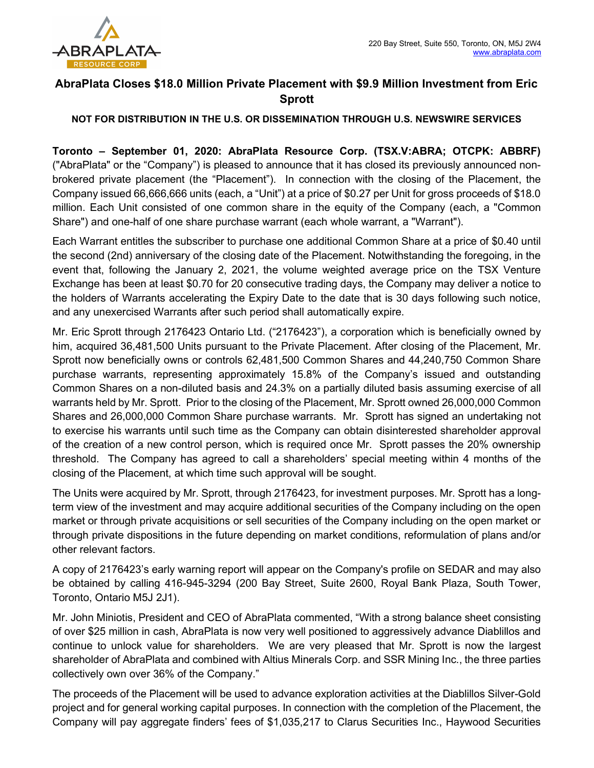

## AbraPlata Closes \$18.0 Million Private Placement with \$9.9 Million Investment from Eric Sprott

## NOT FOR DISTRIBUTION IN THE U.S. OR DISSEMINATION THROUGH U.S. NEWSWIRE SERVICES

Toronto – September 01, 2020: AbraPlata Resource Corp. (TSX.V:ABRA; OTCPK: ABBRF) ("AbraPlata" or the "Company") is pleased to announce that it has closed its previously announced nonbrokered private placement (the "Placement"). In connection with the closing of the Placement, the Company issued 66,666,666 units (each, a "Unit") at a price of \$0.27 per Unit for gross proceeds of \$18.0 million. Each Unit consisted of one common share in the equity of the Company (each, a "Common Share") and one-half of one share purchase warrant (each whole warrant, a "Warrant").

Each Warrant entitles the subscriber to purchase one additional Common Share at a price of \$0.40 until the second (2nd) anniversary of the closing date of the Placement. Notwithstanding the foregoing, in the event that, following the January 2, 2021, the volume weighted average price on the TSX Venture Exchange has been at least \$0.70 for 20 consecutive trading days, the Company may deliver a notice to the holders of Warrants accelerating the Expiry Date to the date that is 30 days following such notice, and any unexercised Warrants after such period shall automatically expire.

Mr. Eric Sprott through 2176423 Ontario Ltd. ("2176423"), a corporation which is beneficially owned by him, acquired 36,481,500 Units pursuant to the Private Placement. After closing of the Placement, Mr. Sprott now beneficially owns or controls 62,481,500 Common Shares and 44,240,750 Common Share purchase warrants, representing approximately 15.8% of the Company's issued and outstanding Common Shares on a non-diluted basis and 24.3% on a partially diluted basis assuming exercise of all warrants held by Mr. Sprott. Prior to the closing of the Placement, Mr. Sprott owned 26,000,000 Common Shares and 26,000,000 Common Share purchase warrants. Mr. Sprott has signed an undertaking not to exercise his warrants until such time as the Company can obtain disinterested shareholder approval of the creation of a new control person, which is required once Mr. Sprott passes the 20% ownership threshold. The Company has agreed to call a shareholders' special meeting within 4 months of the closing of the Placement, at which time such approval will be sought.

The Units were acquired by Mr. Sprott, through 2176423, for investment purposes. Mr. Sprott has a longterm view of the investment and may acquire additional securities of the Company including on the open market or through private acquisitions or sell securities of the Company including on the open market or through private dispositions in the future depending on market conditions, reformulation of plans and/or other relevant factors.

A copy of 2176423's early warning report will appear on the Company's profile on SEDAR and may also be obtained by calling 416-945-3294 (200 Bay Street, Suite 2600, Royal Bank Plaza, South Tower, Toronto, Ontario M5J 2J1).

Mr. John Miniotis, President and CEO of AbraPlata commented, "With a strong balance sheet consisting of over \$25 million in cash, AbraPlata is now very well positioned to aggressively advance Diablillos and continue to unlock value for shareholders. We are very pleased that Mr. Sprott is now the largest shareholder of AbraPlata and combined with Altius Minerals Corp. and SSR Mining Inc., the three parties collectively own over 36% of the Company."

The proceeds of the Placement will be used to advance exploration activities at the Diablillos Silver-Gold project and for general working capital purposes. In connection with the completion of the Placement, the Company will pay aggregate finders' fees of \$1,035,217 to Clarus Securities Inc., Haywood Securities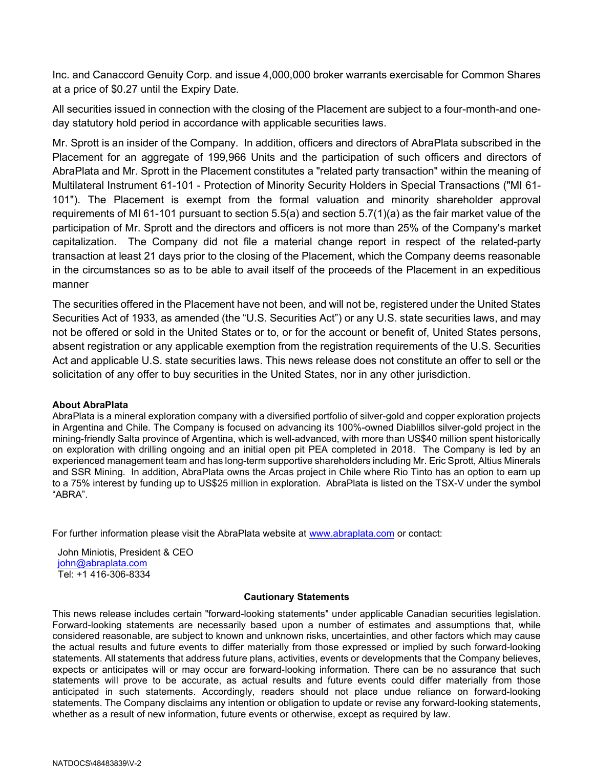Inc. and Canaccord Genuity Corp. and issue 4,000,000 broker warrants exercisable for Common Shares at a price of \$0.27 until the Expiry Date.

All securities issued in connection with the closing of the Placement are subject to a four-month-and oneday statutory hold period in accordance with applicable securities laws.

Mr. Sprott is an insider of the Company. In addition, officers and directors of AbraPlata subscribed in the Placement for an aggregate of 199,966 Units and the participation of such officers and directors of AbraPlata and Mr. Sprott in the Placement constitutes a "related party transaction" within the meaning of Multilateral Instrument 61-101 - Protection of Minority Security Holders in Special Transactions ("MI 61- 101"). The Placement is exempt from the formal valuation and minority shareholder approval requirements of MI 61-101 pursuant to section 5.5(a) and section 5.7(1)(a) as the fair market value of the participation of Mr. Sprott and the directors and officers is not more than 25% of the Company's market capitalization. The Company did not file a material change report in respect of the related-party transaction at least 21 days prior to the closing of the Placement, which the Company deems reasonable in the circumstances so as to be able to avail itself of the proceeds of the Placement in an expeditious manner

The securities offered in the Placement have not been, and will not be, registered under the United States Securities Act of 1933, as amended (the "U.S. Securities Act") or any U.S. state securities laws, and may not be offered or sold in the United States or to, or for the account or benefit of, United States persons, absent registration or any applicable exemption from the registration requirements of the U.S. Securities Act and applicable U.S. state securities laws. This news release does not constitute an offer to sell or the solicitation of any offer to buy securities in the United States, nor in any other jurisdiction.

## About AbraPlata

AbraPlata is a mineral exploration company with a diversified portfolio of silver-gold and copper exploration projects in Argentina and Chile. The Company is focused on advancing its 100%-owned Diablillos silver-gold project in the mining-friendly Salta province of Argentina, which is well-advanced, with more than US\$40 million spent historically on exploration with drilling ongoing and an initial open pit PEA completed in 2018. The Company is led by an experienced management team and has long-term supportive shareholders including Mr. Eric Sprott, Altius Minerals and SSR Mining. In addition, AbraPlata owns the Arcas project in Chile where Rio Tinto has an option to earn up to a 75% interest by funding up to US\$25 million in exploration. AbraPlata is listed on the TSX-V under the symbol "ABRA".

For further information please visit the AbraPlata website at www.abraplata.com or contact:

John Miniotis, President & CEO john@abraplata.com Tel: +1 416-306-8334

## Cautionary Statements

This news release includes certain "forward-looking statements" under applicable Canadian securities legislation. Forward-looking statements are necessarily based upon a number of estimates and assumptions that, while considered reasonable, are subject to known and unknown risks, uncertainties, and other factors which may cause the actual results and future events to differ materially from those expressed or implied by such forward-looking statements. All statements that address future plans, activities, events or developments that the Company believes, expects or anticipates will or may occur are forward-looking information. There can be no assurance that such statements will prove to be accurate, as actual results and future events could differ materially from those anticipated in such statements. Accordingly, readers should not place undue reliance on forward-looking statements. The Company disclaims any intention or obligation to update or revise any forward-looking statements, whether as a result of new information, future events or otherwise, except as required by law.